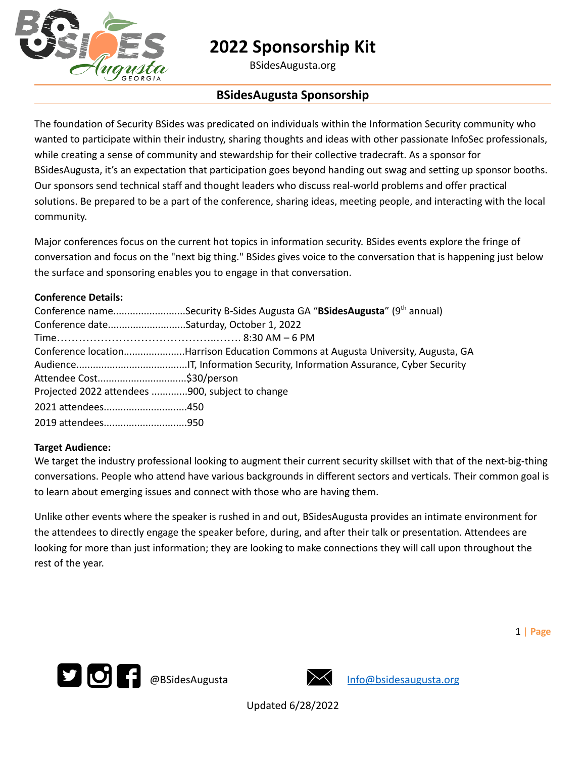

BSidesAugusta.org

## **BSidesAugusta Sponsorship**

The foundation of Security BSides was predicated on individuals within the Information Security community who wanted to participate within their industry, sharing thoughts and ideas with other passionate InfoSec professionals, while creating a sense of community and stewardship for their collective tradecraft. As a sponsor for BSidesAugusta, it's an expectation that participation goes beyond handing out swag and setting up sponsor booths. Our sponsors send technical staff and thought leaders who discuss real-world problems and offer practical solutions. Be prepared to be a part of the conference, sharing ideas, meeting people, and interacting with the local community.

Major conferences focus on the current hot topics in information security. BSides events explore the fringe of conversation and focus on the "next big thing." BSides gives voice to the conversation that is happening just below the surface and sponsoring enables you to engage in that conversation.

### **Conference Details:**

|                                                 | Conference nameSecurity B-Sides Augusta GA "BSidesAugusta" (9th annual)          |
|-------------------------------------------------|----------------------------------------------------------------------------------|
| Conference dateSaturday, October 1, 2022        |                                                                                  |
|                                                 |                                                                                  |
|                                                 | Conference locationHarrison Education Commons at Augusta University, Augusta, GA |
|                                                 |                                                                                  |
|                                                 |                                                                                  |
| Projected 2022 attendees 900, subject to change |                                                                                  |
| 2021 attendees450                               |                                                                                  |
|                                                 |                                                                                  |

#### **Target Audience:**

We target the industry professional looking to augment their current security skillset with that of the next-big-thing conversations. People who attend have various backgrounds in different sectors and verticals. Their common goal is to learn about emerging issues and connect with those who are having them.

Unlike other events where the speaker is rushed in and out, BSidesAugusta provides an intimate environment for the attendees to directly engage the speaker before, during, and after their talk or presentation. Attendees are looking for more than just information; they are looking to make connections they will call upon throughout the rest of the year.

1 | **Page**



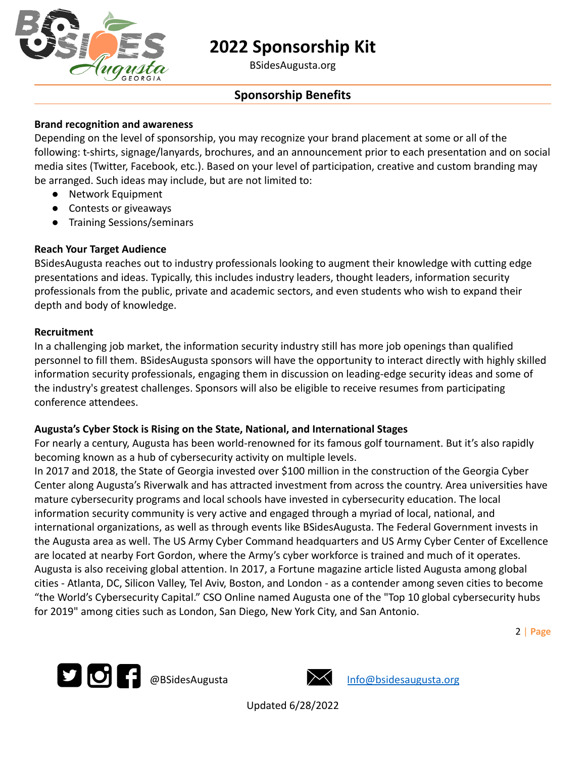

BSidesAugusta.org

## **Sponsorship Benefits**

## **Brand recognition and awareness**

Depending on the level of sponsorship, you may recognize your brand placement at some or all of the following: t-shirts, signage/lanyards, brochures, and an announcement prior to each presentation and on social media sites (Twitter, Facebook, etc.). Based on your level of participation, creative and custom branding may be arranged. Such ideas may include, but are not limited to:

- Network Equipment
- Contests or giveaways
- Training Sessions/seminars

## **Reach Your Target Audience**

BSidesAugusta reaches out to industry professionals looking to augment their knowledge with cutting edge presentations and ideas. Typically, this includes industry leaders, thought leaders, information security professionals from the public, private and academic sectors, and even students who wish to expand their depth and body of knowledge.

### **Recruitment**

In a challenging job market, the information security industry still has more job openings than qualified personnel to fill them. BSidesAugusta sponsors will have the opportunity to interact directly with highly skilled information security professionals, engaging them in discussion on leading-edge security ideas and some of the industry's greatest challenges. Sponsors will also be eligible to receive resumes from participating conference attendees.

### **Augusta's Cyber Stock is Rising on the State, National, and International Stages**

For nearly a century, Augusta has been world-renowned for its famous golf tournament. But it's also rapidly becoming known as a hub of cybersecurity activity on multiple levels.

In 2017 and 2018, the State of Georgia invested over \$100 million in the construction of the Georgia Cyber Center along Augusta's Riverwalk and has attracted investment from across the country. Area universities have mature cybersecurity programs and local schools have invested in cybersecurity education. The local information security community is very active and engaged through a myriad of local, national, and international organizations, as well as through events like BSidesAugusta. The Federal Government invests in the Augusta area as well. The US Army Cyber Command headquarters and US Army Cyber Center of Excellence are located at nearby Fort Gordon, where the Army's cyber workforce is trained and much of it operates. Augusta is also receiving global attention. In 2017, a Fortune magazine article listed Augusta among global cities - Atlanta, DC, Silicon Valley, Tel Aviv, Boston, and London - as a contender among seven cities to become "the World's Cybersecurity Capital." CSO Online named Augusta one of the "Top 10 global cybersecurity hubs for 2019" among cities such as London, San Diego, New York City, and San Antonio.

2 | **Page**



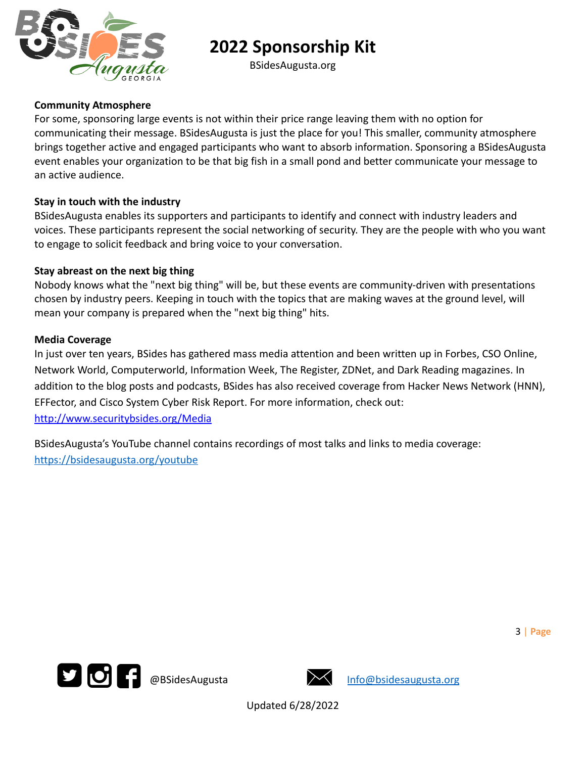

BSidesAugusta.org

### **Community Atmosphere**

For some, sponsoring large events is not within their price range leaving them with no option for communicating their message. BSidesAugusta is just the place for you! This smaller, community atmosphere brings together active and engaged participants who want to absorb information. Sponsoring a BSidesAugusta event enables your organization to be that big fish in a small pond and better communicate your message to an active audience.

### **Stay in touch with the industry**

BSidesAugusta enables its supporters and participants to identify and connect with industry leaders and voices. These participants represent the social networking of security. They are the people with who you want to engage to solicit feedback and bring voice to your conversation.

### **Stay abreast on the next big thing**

Nobody knows what the "next big thing" will be, but these events are community-driven with presentations chosen by industry peers. Keeping in touch with the topics that are making waves at the ground level, will mean your company is prepared when the "next big thing" hits.

#### **Media Coverage**

In just over ten years, BSides has gathered mass media attention and been written up in Forbes, CSO Online, Network World, Computerworld, Information Week, The Register, ZDNet, and Dark Reading magazines. In addition to the blog posts and podcasts, BSides has also received coverage from Hacker News Network (HNN), EFFector, and Cisco System Cyber Risk Report. For more information, check out: http://www.securitybsides.org/Media

BSidesAugusta's YouTube channel contains recordings of most talks and links to media coverage: <https://bsidesaugusta.org/youtube>



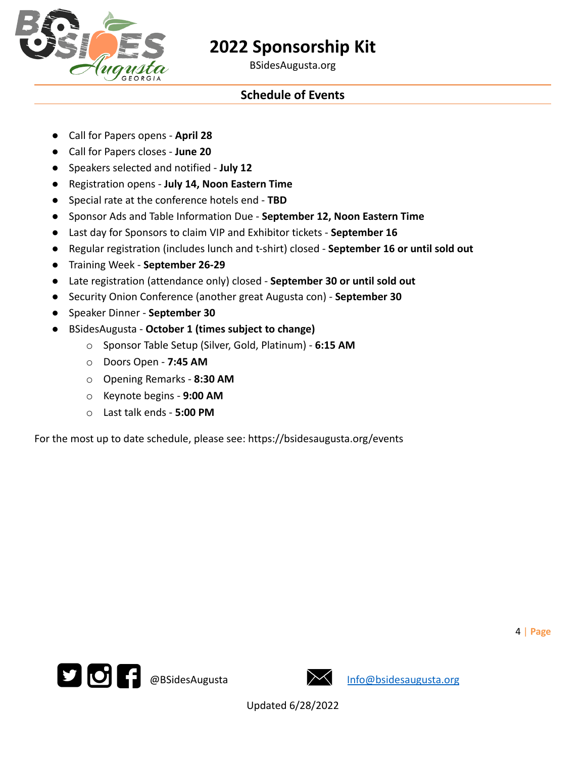

BSidesAugusta.org

## **Schedule of Events**

- Call for Papers opens **April 28**
- Call for Papers closes **June 20**
- Speakers selected and notified **July 12**
- Registration opens **July 14, Noon Eastern Time**
- Special rate at the conference hotels end **TBD**
- Sponsor Ads and Table Information Due **September 12, Noon Eastern Time**
- Last day for Sponsors to claim VIP and Exhibitor tickets **September 16**
- Regular registration (includes lunch and t-shirt) closed **September 16 or until sold out**
- Training Week **September 26-29**
- Late registration (attendance only) closed **September 30 or until sold out**
- Security Onion Conference (another great Augusta con) **September 30**
- Speaker Dinner **September 30**
- BSidesAugusta **October 1 (times subject to change)**
	- o Sponsor Table Setup (Silver, Gold, Platinum) **6:15 AM**
	- o Doors Open **7:45 AM**
	- o Opening Remarks **8:30 AM**
	- o Keynote begins **9:00 AM**
	- o Last talk ends **5:00 PM**

For the most up to date schedule, please see: https://bsidesaugusta.org/events



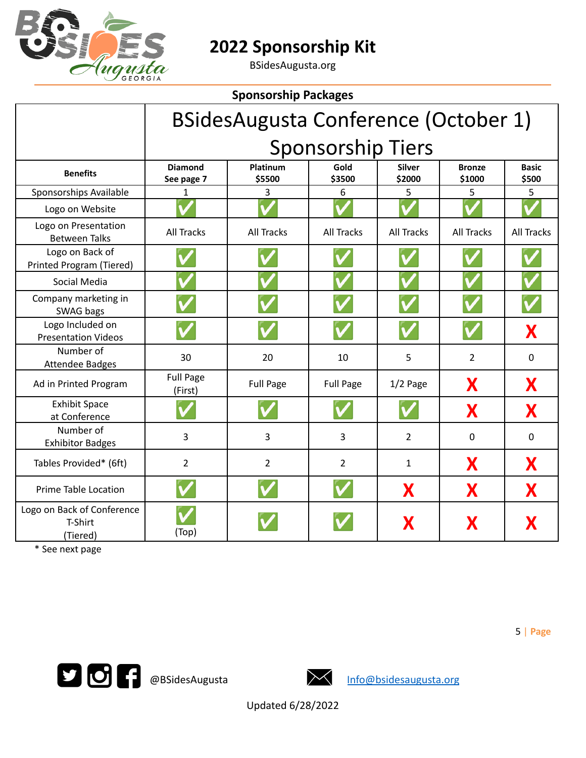

BSidesAugusta.org

| <b>Sponsorship Packages</b>                       |                              |                    |                   |                         |                         |                       |  |  |
|---------------------------------------------------|------------------------------|--------------------|-------------------|-------------------------|-------------------------|-----------------------|--|--|
| <b>BSidesAugusta Conference (October 1)</b>       |                              |                    |                   |                         |                         |                       |  |  |
|                                                   | <b>Sponsorship Tiers</b>     |                    |                   |                         |                         |                       |  |  |
| <b>Benefits</b>                                   | <b>Diamond</b><br>See page 7 | Platinum<br>\$5500 | Gold<br>\$3500    | <b>Silver</b><br>\$2000 | <b>Bronze</b><br>\$1000 | <b>Basic</b><br>\$500 |  |  |
| Sponsorships Available                            | 1                            | 3                  | 6                 | 5                       | 5                       | 5                     |  |  |
| Logo on Website                                   |                              |                    |                   |                         |                         |                       |  |  |
| Logo on Presentation<br><b>Between Talks</b>      | <b>All Tracks</b>            | <b>All Tracks</b>  | <b>All Tracks</b> | <b>All Tracks</b>       | <b>All Tracks</b>       | <b>All Tracks</b>     |  |  |
| Logo on Back of<br>Printed Program (Tiered)       |                              |                    |                   |                         |                         |                       |  |  |
| Social Media                                      |                              |                    |                   |                         |                         |                       |  |  |
| Company marketing in<br>SWAG bags                 |                              |                    |                   |                         |                         |                       |  |  |
| Logo Included on<br><b>Presentation Videos</b>    |                              |                    |                   |                         |                         | X                     |  |  |
| Number of<br><b>Attendee Badges</b>               | 30                           | 20                 | 10                | 5                       | $\overline{2}$          | $\Omega$              |  |  |
| Ad in Printed Program                             | <b>Full Page</b><br>(First)  | <b>Full Page</b>   | <b>Full Page</b>  | $1/2$ Page              | X                       | X                     |  |  |
| <b>Exhibit Space</b><br>at Conference             |                              |                    |                   |                         | X                       | X                     |  |  |
| Number of<br><b>Exhibitor Badges</b>              | 3                            | 3                  | 3                 | $\overline{2}$          | $\mathbf 0$             | $\mathbf 0$           |  |  |
| Tables Provided* (6ft)                            | $\overline{2}$               | $\overline{2}$     | $\overline{2}$    | $\mathbf{1}$            | X                       | X                     |  |  |
| <b>Prime Table Location</b>                       |                              |                    |                   | X                       | X                       | X                     |  |  |
| Logo on Back of Conference<br>T-Shirt<br>(Tiered) | (Top)                        |                    |                   | Х                       | Х                       |                       |  |  |

\* See next page

**10 Constitutes** and the entity of the entity of the entity of the entity of the entity of the entity of the entity of the entity of the entity of the entity of the entity of the entity of the entity of the entity of the e



5 | **Page**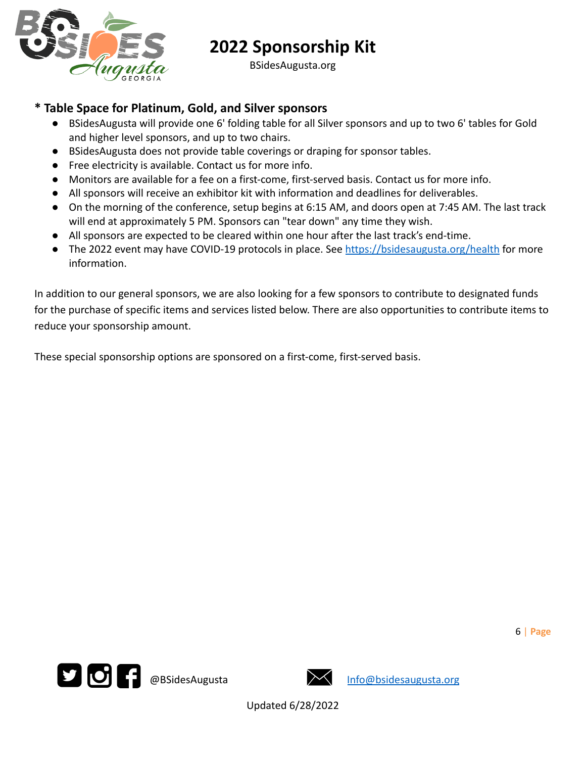

BSidesAugusta.org

## **\* Table Space for Platinum, Gold, and Silver sponsors**

- BSidesAugusta will provide one 6' folding table for all Silver sponsors and up to two 6' tables for Gold and higher level sponsors, and up to two chairs.
- BSidesAugusta does not provide table coverings or draping for sponsor tables.
- Free electricity is available. Contact us for more info.
- Monitors are available for a fee on a first-come, first-served basis. Contact us for more info.
- All sponsors will receive an exhibitor kit with information and deadlines for deliverables.
- On the morning of the conference, setup begins at 6:15 AM, and doors open at 7:45 AM. The last track will end at approximately 5 PM. Sponsors can "tear down" any time they wish.
- All sponsors are expected to be cleared within one hour after the last track's end-time.
- The 2022 event may have COVID-19 protocols in place. See <https://bsidesaugusta.org/health> for more information.

In addition to our general sponsors, we are also looking for a few sponsors to contribute to designated funds for the purchase of specific items and services listed below. There are also opportunities to contribute items to reduce your sponsorship amount.

These special sponsorship options are sponsored on a first-come, first-served basis.



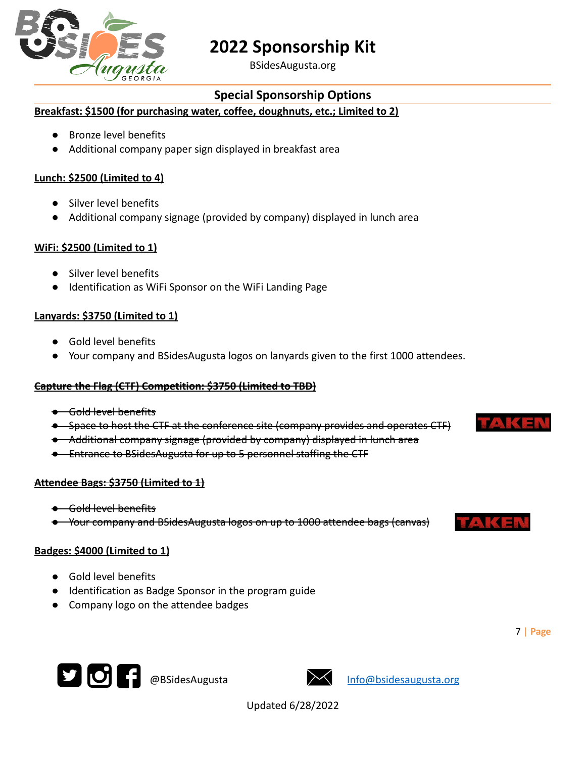

BSidesAugusta.org

## **Special Sponsorship Options**

### **Breakfast: \$1500 (for purchasing water, coffee, doughnuts, etc.; Limited to 2)**

- Bronze level benefits
- Additional company paper sign displayed in breakfast area

## **Lunch: \$2500 (Limited to 4)**

- Silver level benefits
- Additional company signage (provided by company) displayed in lunch area

## **WiFi: \$2500 (Limited to 1)**

- Silver level benefits
- Identification as WiFi Sponsor on the WiFi Landing Page

## **Lanyards: \$3750 (Limited to 1)**

- Gold level benefits
- Your company and BSidesAugusta logos on lanyards given to the first 1000 attendees.

### **Capture the Flag (CTF) Competition: \$3750 (Limited to TBD)**

- Gold level benefits
- Space to host the CTF at the conference site (company provides and operates CTF)
- Additional company signage (provided by company) displayed in lunch area
- Entrance to BSidesAugusta for up to 5 personnel staffing the CTF

### **Attendee Bags: \$3750 (Limited to 1)**

- Gold level benefits
- Your company and BSidesAugusta logos on up to 1000 attendee bags (canvas)

### **Badges: \$4000 (Limited to 1)**

- Gold level benefits
- Identification as Badge Sponsor in the program guide
- Company logo on the attendee badges





Updated 6/28/2022





7 | **Page**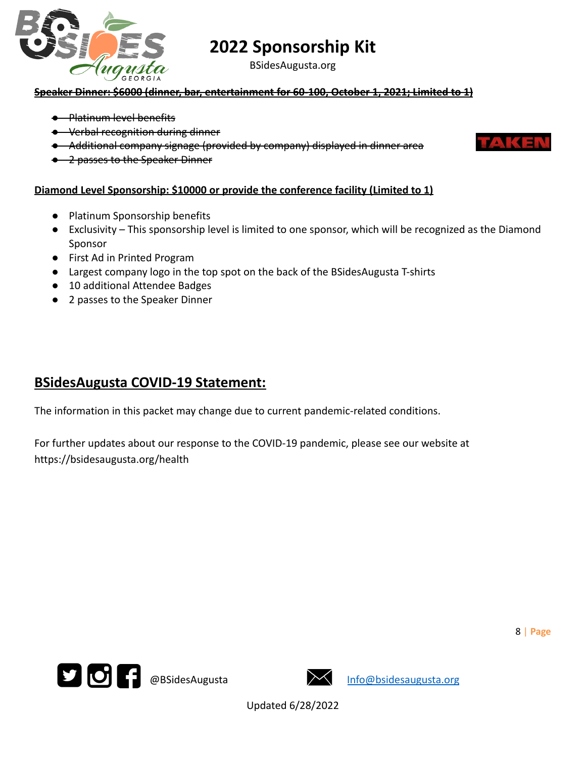

BSidesAugusta.org

### **Speaker Dinner: \$6000 (dinner, bar, entertainment for 60-100, October 1, 2021; Limited to 1)**

- Platinum level benefits
- Verbal recognition during dinner
- Additional company signage (provided by company) displayed in dinner area



8 | **Page**

● 2 passes to the Speaker Dinner

### **Diamond Level Sponsorship: \$10000 or provide the conference facility (Limited to 1)**

- Platinum Sponsorship benefits
- Exclusivity This sponsorship level is limited to one sponsor, which will be recognized as the Diamond Sponsor
- First Ad in Printed Program
- Largest company logo in the top spot on the back of the BSidesAugusta T-shirts
- 10 additional Attendee Badges
- 2 passes to the Speaker Dinner

## **BSidesAugusta COVID-19 Statement:**

The information in this packet may change due to current pandemic-related conditions.

For further updates about our response to the COVID-19 pandemic, please see our website at https://bsidesaugusta.org/health



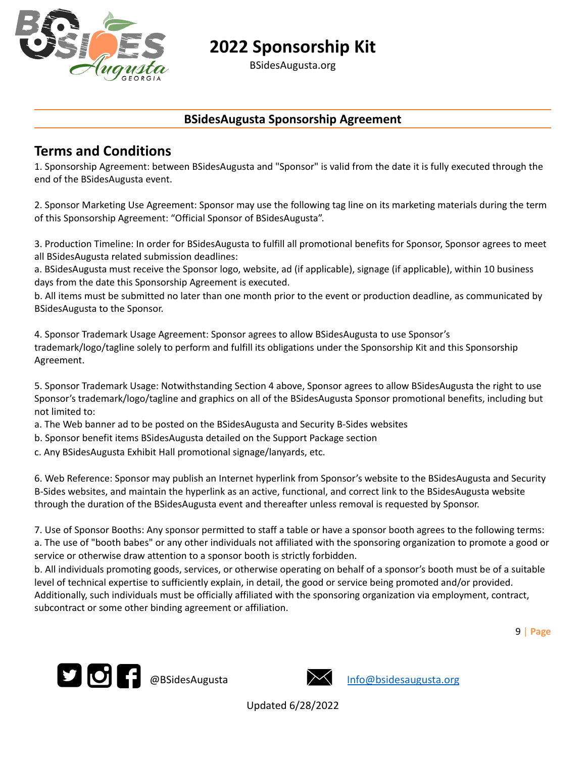

BSidesAugusta.org

## **BSidesAugusta Sponsorship Agreement**

## **Terms and Conditions**

1. Sponsorship Agreement: between BSidesAugusta and "Sponsor" is valid from the date it is fully executed through the end of the BSidesAugusta event.

2. Sponsor Marketing Use Agreement: Sponsor may use the following tag line on its marketing materials during the term of this Sponsorship Agreement: "Official Sponsor of BSidesAugusta".

3. Production Timeline: In order for BSidesAugusta to fulfill all promotional benefits for Sponsor, Sponsor agrees to meet all BSidesAugusta related submission deadlines:

a. BSidesAugusta must receive the Sponsor logo, website, ad (if applicable), signage (if applicable), within 10 business days from the date this Sponsorship Agreement is executed.

b. All items must be submitted no later than one month prior to the event or production deadline, as communicated by BSidesAugusta to the Sponsor.

4. Sponsor Trademark Usage Agreement: Sponsor agrees to allow BSidesAugusta to use Sponsor's trademark/logo/tagline solely to perform and fulfill its obligations under the Sponsorship Kit and this Sponsorship Agreement.

5. Sponsor Trademark Usage: Notwithstanding Section 4 above, Sponsor agrees to allow BSidesAugusta the right to use Sponsor's trademark/logo/tagline and graphics on all of the BSidesAugusta Sponsor promotional benefits, including but not limited to:

- a. The Web banner ad to be posted on the BSidesAugusta and Security B-Sides websites
- b. Sponsor benefit items BSidesAugusta detailed on the Support Package section
- c. Any BSidesAugusta Exhibit Hall promotional signage/lanyards, etc.

6. Web Reference: Sponsor may publish an Internet hyperlink from Sponsor's website to the BSidesAugusta and Security B-Sides websites, and maintain the hyperlink as an active, functional, and correct link to the BSidesAugusta website through the duration of the BSidesAugusta event and thereafter unless removal is requested by Sponsor.

7. Use of Sponsor Booths: Any sponsor permitted to staff a table or have a sponsor booth agrees to the following terms: a. The use of "booth babes" or any other individuals not affiliated with the sponsoring organization to promote a good or service or otherwise draw attention to a sponsor booth is strictly forbidden.

b. All individuals promoting goods, services, or otherwise operating on behalf of a sponsor's booth must be of a suitable level of technical expertise to sufficiently explain, in detail, the good or service being promoted and/or provided. Additionally, such individuals must be officially affiliated with the sponsoring organization via employment, contract, subcontract or some other binding agreement or affiliation.

9 | **Page**



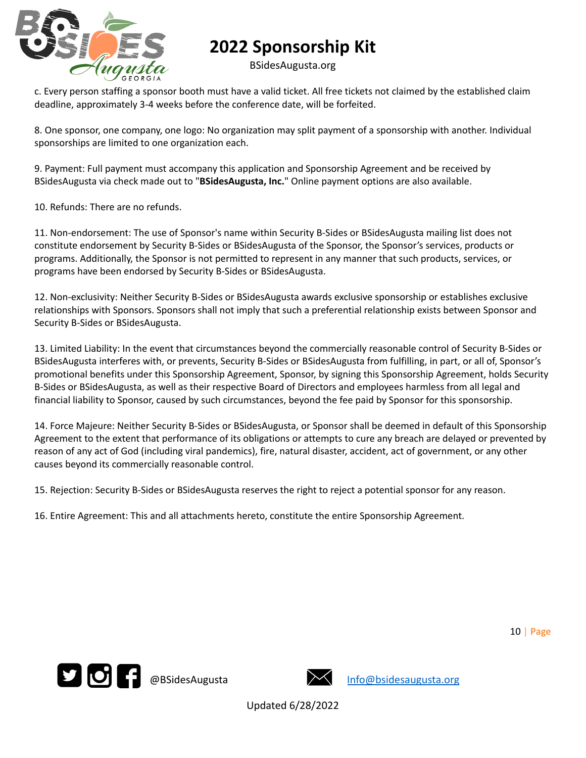

BSidesAugusta.org

c. Every person staffing a sponsor booth must have a valid ticket. All free tickets not claimed by the established claim deadline, approximately 3-4 weeks before the conference date, will be forfeited.

8. One sponsor, one company, one logo: No organization may split payment of a sponsorship with another. Individual sponsorships are limited to one organization each.

9. Payment: Full payment must accompany this application and Sponsorship Agreement and be received by BSidesAugusta via check made out to "**BSidesAugusta, Inc.**" Online payment options are also available.

10. Refunds: There are no refunds.

11. Non-endorsement: The use of Sponsor's name within Security B-Sides or BSidesAugusta mailing list does not constitute endorsement by Security B-Sides or BSidesAugusta of the Sponsor, the Sponsor's services, products or programs. Additionally, the Sponsor is not permitted to represent in any manner that such products, services, or programs have been endorsed by Security B-Sides or BSidesAugusta.

12. Non-exclusivity: Neither Security B-Sides or BSidesAugusta awards exclusive sponsorship or establishes exclusive relationships with Sponsors. Sponsors shall not imply that such a preferential relationship exists between Sponsor and Security B-Sides or BSidesAugusta.

13. Limited Liability: In the event that circumstances beyond the commercially reasonable control of Security B-Sides or BSidesAugusta interferes with, or prevents, Security B-Sides or BSidesAugusta from fulfilling, in part, or all of, Sponsor's promotional benefits under this Sponsorship Agreement, Sponsor, by signing this Sponsorship Agreement, holds Security B-Sides or BSidesAugusta, as well as their respective Board of Directors and employees harmless from all legal and financial liability to Sponsor, caused by such circumstances, beyond the fee paid by Sponsor for this sponsorship.

14. Force Majeure: Neither Security B-Sides or BSidesAugusta, or Sponsor shall be deemed in default of this Sponsorship Agreement to the extent that performance of its obligations or attempts to cure any breach are delayed or prevented by reason of any act of God (including viral pandemics), fire, natural disaster, accident, act of government, or any other causes beyond its commercially reasonable control.

15. Rejection: Security B-Sides or BSidesAugusta reserves the right to reject a potential sponsor for any reason.

16. Entire Agreement: This and all attachments hereto, constitute the entire Sponsorship Agreement.